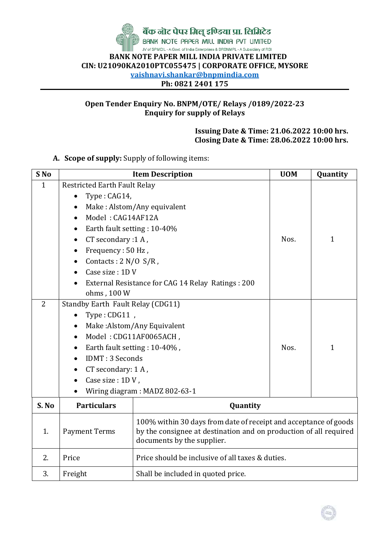

बैंक नॊट पेपर मिल् इण्डिया प्रा. लिमिटेड BANK NOTE PAPER MILL INDIA PVT UMITED

JV of SPMCIL - A Govt. of India Enterprises & BRBNMPL - A Subsidiary of RBI  **BANK NOTE PAPER MILL INDIA PRIVATE LIMITED CIN: U21090KA2010PTC055475 | CORPORATE OFFICE, MYSORE vaishnavi.shankar@bnpmindia.com Ph: 0821 2401 175**

### **Open Tender Enquiry No. BNPM/OTE/ Relays /0189/2022-23 Enquiry for supply of Relays**

**Issuing Date & Time: 21.06.2022 10:00 hrs. Closing Date & Time: 28.06.2022 10:00 hrs.**

**A. Scope of supply:** Supply of following items:

| S <sub>No</sub> | <b>Item Description</b>                                                                                                                                                                                                                                                  |                                                                                                                                                                     | <b>UOM</b> | Quantity     |  |  |
|-----------------|--------------------------------------------------------------------------------------------------------------------------------------------------------------------------------------------------------------------------------------------------------------------------|---------------------------------------------------------------------------------------------------------------------------------------------------------------------|------------|--------------|--|--|
| 1               | <b>Restricted Earth Fault Relay</b><br>Type: CAG14,<br>٠<br>$\bullet$<br>Model: CAG14AF12A<br>Earth fault setting: 10-40%<br>$\bullet$<br>CT secondary :1 A,<br>Frequency: 50 Hz,<br>$\bullet$<br>Contacts: $2 N/O S/R$ ,<br>$\bullet$<br>Case size: 1D V<br>ohms, 100 W | Make: Alstom/Any equivalent<br>External Resistance for CAG 14 Relay Ratings : 200                                                                                   | Nos.       | $\mathbf{1}$ |  |  |
| $\overline{2}$  | Standby Earth Fault Relay (CDG11)<br>Type: CDG11,<br>$\bullet$<br>$\bullet$<br>$\bullet$<br><b>IDMT: 3 Seconds</b><br>$\bullet$<br>CT secondary: 1 A,<br>$\bullet$<br>Case size: 1DV,<br>$\bullet$                                                                       | Make: Alstom/Any Equivalent<br>Model: CDG11AF0065ACH,<br>Earth fault setting : 10-40%,<br>Wiring diagram: MADZ 802-63-1                                             | Nos.       | $\mathbf{1}$ |  |  |
| S. No           | <b>Particulars</b>                                                                                                                                                                                                                                                       | Quantity                                                                                                                                                            |            |              |  |  |
| 1.              | <b>Payment Terms</b>                                                                                                                                                                                                                                                     | 100% within 30 days from date of receipt and acceptance of goods<br>by the consignee at destination and on production of all required<br>documents by the supplier. |            |              |  |  |
| 2.              | Price should be inclusive of all taxes & duties.<br>Price                                                                                                                                                                                                                |                                                                                                                                                                     |            |              |  |  |
| 3.              | Freight                                                                                                                                                                                                                                                                  | Shall be included in quoted price.                                                                                                                                  |            |              |  |  |

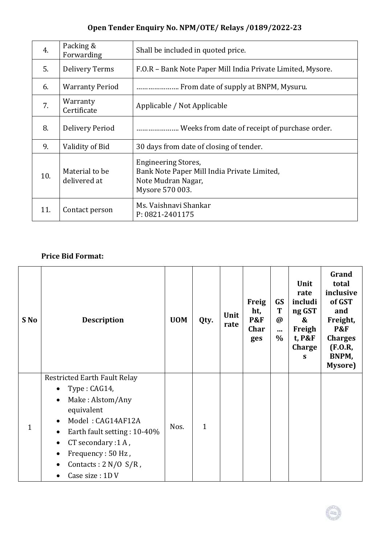# **Open Tender Enquiry No. NPM/OTE/ Relays /0189/2022-23**

| 4.  | Packing &<br>Forwarding        | Shall be included in quoted price.                                                                                 |
|-----|--------------------------------|--------------------------------------------------------------------------------------------------------------------|
| 5.  | <b>Delivery Terms</b>          | F.O.R - Bank Note Paper Mill India Private Limited, Mysore.                                                        |
| 6.  | <b>Warranty Period</b>         | From date of supply at BNPM, Mysuru.                                                                               |
| 7.  | Warranty<br>Certificate        | Applicable / Not Applicable                                                                                        |
| 8.  | Delivery Period                | . Weeks from date of receipt of purchase order.                                                                    |
| 9.  | Validity of Bid                | 30 days from date of closing of tender.                                                                            |
| 10. | Material to be<br>delivered at | <b>Engineering Stores,</b><br>Bank Note Paper Mill India Private Limited,<br>Note Mudran Nagar,<br>Mysore 570 003. |
| 11. | Contact person                 | Ms. Vaishnavi Shankar<br>P: 0821-2401175                                                                           |

## **Price Bid Format:**

| S No | <b>Description</b>                                                                                                                                                                                                                                                                                   | <b>UOM</b> | Qty.         | Unit<br>rate | <b>Freig</b><br>ht,<br><b>P&amp;F</b><br>Char<br>ges | GS<br>T<br>$\bm{\varnothing}$<br><br>$\%$ | Unit<br>rate<br>includi<br>ng GST<br>&<br>Freigh<br>t, P&F<br>Charge<br>S | Grand<br>total<br>inclusive<br>of GST<br>and<br>Freight,<br><b>P&amp;F</b><br><b>Charges</b><br>(F.O.R,<br>BNPM,<br>Mysore) |
|------|------------------------------------------------------------------------------------------------------------------------------------------------------------------------------------------------------------------------------------------------------------------------------------------------------|------------|--------------|--------------|------------------------------------------------------|-------------------------------------------|---------------------------------------------------------------------------|-----------------------------------------------------------------------------------------------------------------------------|
| 1    | <b>Restricted Earth Fault Relay</b><br>Type: CAG14,<br>$\bullet$<br>Make: Alstom/Any<br>$\bullet$<br>equivalent<br>Model: CAG14AF12A<br>Earth fault setting: 10-40%<br>$\bullet$<br>CT secondary :1 A,<br>$\bullet$<br>Frequency: 50 Hz,<br>$\bullet$<br>Contacts : $2 N/O S/R$ ,<br>Case size: 1D V | Nos.       | $\mathbf{1}$ |              |                                                      |                                           |                                                                           |                                                                                                                             |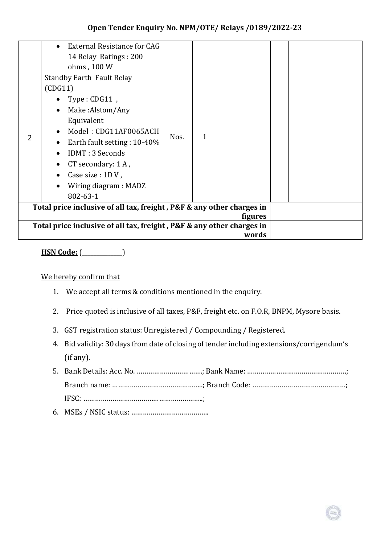#### **Open Tender Enquiry No. NPM/OTE/ Relays /0189/2022-23**

| External Resistance for CAG<br>14 Relay Ratings: 200<br>ohms, 100 W                                                                                                                                                                                                                               |      |              |  |  |  |  |
|---------------------------------------------------------------------------------------------------------------------------------------------------------------------------------------------------------------------------------------------------------------------------------------------------|------|--------------|--|--|--|--|
| <b>Standby Earth Fault Relay</b><br>(CDG11)<br>$Type: CDG11$ ,<br>Make:Alstom/Any<br>$\bullet$<br>Equivalent<br>Model: CDG11AF0065ACH<br>$\bullet$<br>Earth fault setting: 10-40%<br><b>IDMT: 3 Seconds</b><br>CT secondary: 1 A,<br>Case size : 1D V,<br>Wiring diagram : MADZ<br>$802 - 63 - 1$ | Nos. | $\mathbf{1}$ |  |  |  |  |
| Total price inclusive of all tax, freight, P&F & any other charges in<br><b>figures</b>                                                                                                                                                                                                           |      |              |  |  |  |  |
| Total price inclusive of all tax, freight, P&F & any other charges in<br>words                                                                                                                                                                                                                    |      |              |  |  |  |  |

**HSN Code:** (\_\_\_\_\_\_\_\_\_\_\_\_\_\_)

#### We hereby confirm that

- 1. We accept all terms & conditions mentioned in the enquiry.
- 2. Price quoted is inclusive of all taxes, P&F, freight etc. on F.O.R, BNPM, Mysore basis.
- 3. GST registration status: Unregistered / Compounding / Registered.
- 4. Bid validity: 30 days from date of closing of tender including extensions/corrigendum's (if any).
- 5. Bank Details: Acc. No. …………………………….; Bank Name: ……………………………………………; Branch name: ………………………………………..; Branch Code: …………………………………………; IFSC: ……………………………………………………..;
- 6. MSEs / NSIC status: ………………………………….